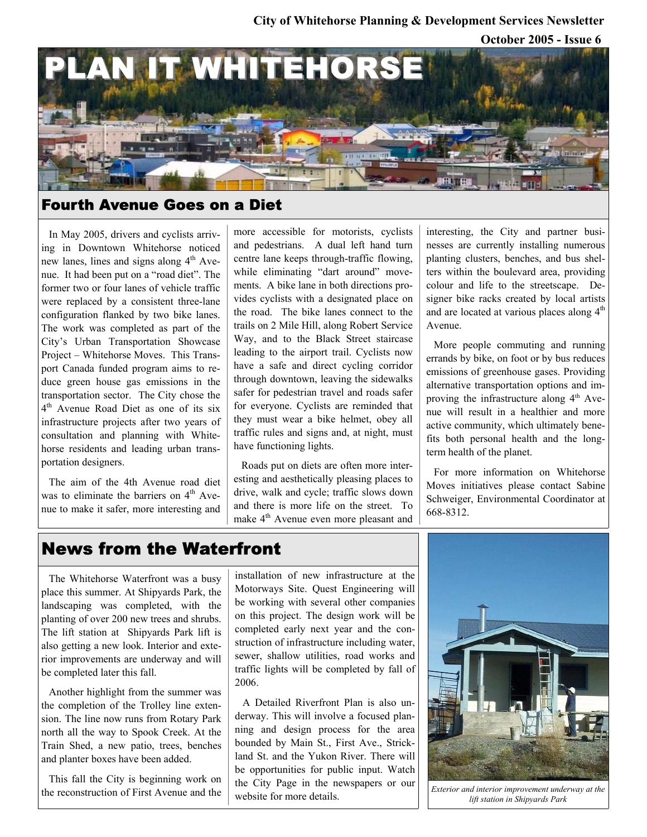## **October 2005 - Issue 6 City of Whitehorse Planning & Development Services Newsletter**



### Fourth Avenue Goes on a Diet

In May 2005, drivers and cyclists arriving in Downtown Whitehorse noticed new lanes, lines and signs along  $4<sup>th</sup>$  Avenue. It had been put on a "road diet". The former two or four lanes of vehicle traffic were replaced by a consistent three-lane configuration flanked by two bike lanes. The work was completed as part of the City's Urban Transportation Showcase Project – Whitehorse Moves. This Transport Canada funded program aims to reduce green house gas emissions in the transportation sector. The City chose the 4<sup>th</sup> Avenue Road Diet as one of its six infrastructure projects after two years of consultation and planning with Whitehorse residents and leading urban transportation designers.

The aim of the 4th Avenue road diet was to eliminate the barriers on  $4<sup>th</sup>$  Avenue to make it safer, more interesting and

more accessible for motorists, cyclists and pedestrians. A dual left hand turn centre lane keeps through-traffic flowing, while eliminating "dart around" movements. A bike lane in both directions provides cyclists with a designated place on the road. The bike lanes connect to the trails on 2 Mile Hill, along Robert Service Way, and to the Black Street staircase leading to the airport trail. Cyclists now have a safe and direct cycling corridor through downtown, leaving the sidewalks safer for pedestrian travel and roads safer for everyone. Cyclists are reminded that they must wear a bike helmet, obey all traffic rules and signs and, at night, must have functioning lights.

Roads put on diets are often more interesting and aesthetically pleasing places to drive, walk and cycle; traffic slows down and there is more life on the street. To make 4th Avenue even more pleasant and interesting, the City and partner businesses are currently installing numerous planting clusters, benches, and bus shelters within the boulevard area, providing colour and life to the streetscape. Designer bike racks created by local artists and are located at various places along  $4<sup>th</sup>$ Avenue.

More people commuting and running errands by bike, on foot or by bus reduces emissions of greenhouse gases. Providing alternative transportation options and improving the infrastructure along  $4<sup>th</sup>$  Avenue will result in a healthier and more active community, which ultimately benefits both personal health and the longterm health of the planet.

For more information on Whitehorse Moves initiatives please contact Sabine Schweiger, Environmental Coordinator at 668-8312.

# News from the Waterfront

The Whitehorse Waterfront was a busy place this summer. At Shipyards Park, the landscaping was completed, with the planting of over 200 new trees and shrubs. The lift station at Shipyards Park lift is also getting a new look. Interior and exterior improvements are underway and will be completed later this fall.

Another highlight from the summer was the completion of the Trolley line extension. The line now runs from Rotary Park north all the way to Spook Creek. At the Train Shed, a new patio, trees, benches and planter boxes have been added.

This fall the City is beginning work on the reconstruction of First Avenue and the installation of new infrastructure at the Motorways Site. Quest Engineering will be working with several other companies on this project. The design work will be completed early next year and the construction of infrastructure including water, sewer, shallow utilities, road works and traffic lights will be completed by fall of 2006.

A Detailed Riverfront Plan is also underway. This will involve a focused planning and design process for the area bounded by Main St., First Ave., Strickland St. and the Yukon River. There will be opportunities for public input. Watch the City Page in the newspapers or our website for more details.



*Exterior and interior improvement underway at the lift station in Shipyards Park*